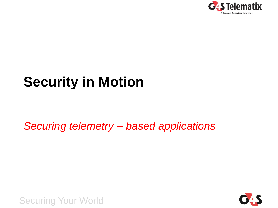

# **Security in Motion**

*Securing telemetry – based applications*

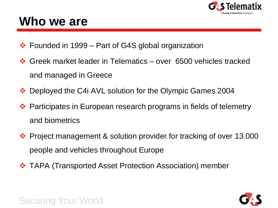

### **Who we are**

- $\cdot$  Founded in 1999 Part of G4S global organization
- Greek market leader in Telematics over 6500 vehicles tracked and managed in Greece
- ❖ Deployed the C4i AVL solution for the Olympic Games 2004
- **\*** Participates in European research programs in fields of telemetry and biometrics
- ❖ Project management & solution provider for tracking of over 13.000 people and vehicles throughout Europe
- $\div$  **TAPA (Transported Asset Protection Association) member**

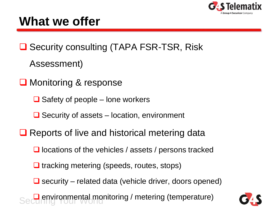

## **What we offer**

**□ Security consulting (TAPA FSR-TSR, Risk** 

Assessment)

- **□** Monitoring & response
	- $\Box$  Safety of people lone workers
	- $\Box$  Security of assets location, environment
- $\Box$  Reports of live and historical metering data
	- $\Box$  locations of the vehicles / assets / persons tracked
	- $\Box$  tracking metering (speeds, routes, stops)
	- $\Box$  security related data (vehicle driver, doors opened)

Securing Your World **Q** environmental monitoring / metering (temperature)

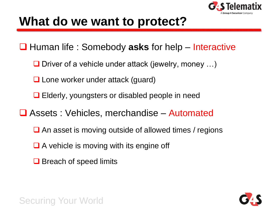

### **What do we want to protect?**

■ Human life : Somebody asks for help – Interactive

- **O** Driver of a vehicle under attack (jewelry, money  $\ldots$ )
- **□ Lone worker under attack (guard)**
- **□** Elderly, youngsters or disabled people in need
- **□ Assets : Vehicles, merchandise Automated** 
	- $\Box$  An asset is moving outside of allowed times / regions
	- $\Box$  A vehicle is moving with its engine off
	- $\Box$  Breach of speed limits

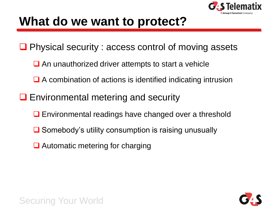

### **What do we want to protect?**

- **□** Physical security : access control of moving assets
	- $\Box$  An unauthorized driver attempts to start a vehicle
	- A combination of actions is identified indicating intrusion
- $\Box$  Environmental metering and security
	- **□** Environmental readings have changed over a threshold
	- **■** Somebody's utility consumption is raising unusually
	- **■** Automatic metering for charging



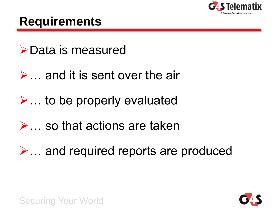

### **Requirements**

### Data is measured

### $\triangleright$  ... and it is sent over the air

## $\triangleright$  ... to be properly evaluated

### $\triangleright$  . so that actions are taken

# $\triangleright$  ... and required reports are produced

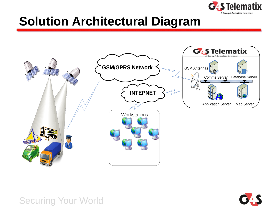

## **Solution Architectural Diagram**



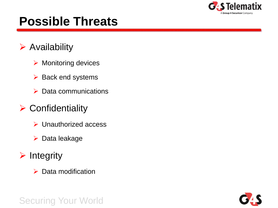

## **Possible Threats**

#### $\triangleright$  Availability

- $\triangleright$  Monitoring devices
- $\triangleright$  Back end systems
- $\triangleright$  Data communications

#### $\triangleright$  Confidentiality

- $\triangleright$  Unauthorized access
- $\triangleright$  Data leakage
- $\triangleright$  Integrity
	- $\triangleright$  Data modification

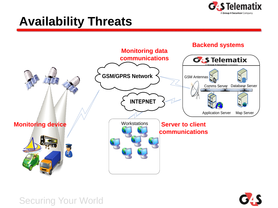

# **Availability Threats**



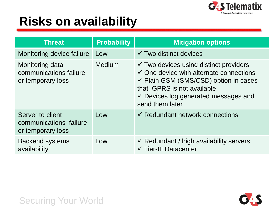

# **Risks on availability**

| <b>Threat</b>                                                   | <b>Probability</b> | <b>Mitigation options</b>                                                                                                                                                                                                                                       |
|-----------------------------------------------------------------|--------------------|-----------------------------------------------------------------------------------------------------------------------------------------------------------------------------------------------------------------------------------------------------------------|
| Monitoring device failure                                       | Low                | $\checkmark$ Two distinct devices                                                                                                                                                                                                                               |
| Monitoring data<br>communications failure<br>or temporary loss  | Medium             | $\checkmark$ Two devices using distinct providers<br>$\checkmark$ One device with alternate connections<br>$\checkmark$ Plain GSM (SMS/CSD) option in cases<br>that GPRS is not available<br>$\checkmark$ Devices log generated messages and<br>send them later |
| Server to client<br>communications failure<br>or temporary loss | Low                | $\checkmark$ Redundant network connections                                                                                                                                                                                                                      |
| <b>Backend systems</b><br>availability                          | Low                | $\checkmark$ Redundant / high availability servers<br>$\checkmark$ Tier-III Datacenter                                                                                                                                                                          |

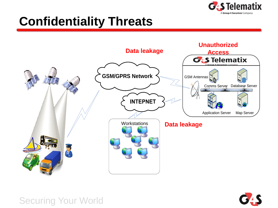

# **Confidentiality Threats**



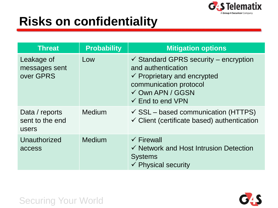

# **Risks on confidentiality**

| <b>Threat</b>                              | <b>Probability</b> | <b>Mitigation options</b>                                                                                                                                                                                |
|--------------------------------------------|--------------------|----------------------------------------------------------------------------------------------------------------------------------------------------------------------------------------------------------|
| Leakage of<br>messages sent<br>over GPRS   | Low                | $\checkmark$ Standard GPRS security – encryption<br>and authentication<br>$\checkmark$ Proprietary and encrypted<br>communication protocol<br>$\checkmark$ Own APN / GGSN<br>$\checkmark$ End to end VPN |
| Data / reports<br>sent to the end<br>users | <b>Medium</b>      | $\checkmark$ SSL – based communication (HTTPS)<br>$\checkmark$ Client (certificate based) authentication                                                                                                 |
| Unauthorized<br>access                     | Medium             | $\checkmark$ Firewall<br>✓ Network and Host Intrusion Detection<br><b>Systems</b><br>$\checkmark$ Physical security                                                                                      |

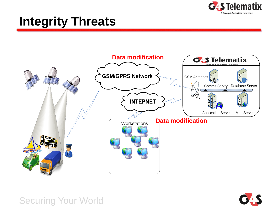

# **Integrity Threats**



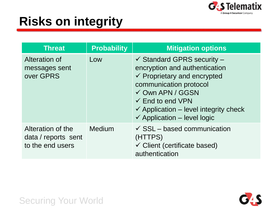

# **Risks on integrity**

| <b>Threat</b>                                                | <b>Probability</b> | <b>Mitigation options</b>                                                                                                                                                                                                                                                                              |
|--------------------------------------------------------------|--------------------|--------------------------------------------------------------------------------------------------------------------------------------------------------------------------------------------------------------------------------------------------------------------------------------------------------|
| Alteration of<br>messages sent<br>over GPRS                  | Low                | $\checkmark$ Standard GPRS security –<br>encryption and authentication<br>$\checkmark$ Proprietary and encrypted<br>communication protocol<br>$\checkmark$ Own APN / GGSN<br>$\checkmark$ End to end VPN<br>$\checkmark$ Application – level integrity check<br>$\checkmark$ Application – level logic |
| Alteration of the<br>data / reports sent<br>to the end users | Medium             | $\checkmark$ SSL – based communication<br>(HTTPS)<br>$\checkmark$ Client (certificate based)<br>authentication                                                                                                                                                                                         |



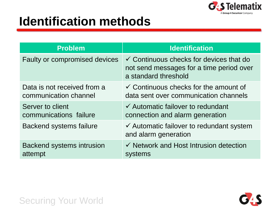

# **Identification methods**

| <b>Problem</b>                   | <b>Identification</b>                                                                                                  |
|----------------------------------|------------------------------------------------------------------------------------------------------------------------|
| Faulty or compromised devices    | $\checkmark$ Continuous checks for devices that do<br>not send messages for a time period over<br>a standard threshold |
| Data is not received from a      | $\checkmark$ Continuous checks for the amount of                                                                       |
| communication channel            | data sent over communication channels                                                                                  |
| Server to client                 | $\checkmark$ Automatic failover to redundant                                                                           |
| communications failure           | connection and alarm generation                                                                                        |
| <b>Backend systems failure</b>   | $\checkmark$ Automatic failover to redundant system<br>and alarm generation                                            |
| <b>Backend systems intrusion</b> | $\checkmark$ Network and Host Intrusion detection                                                                      |
| attempt                          | systems                                                                                                                |

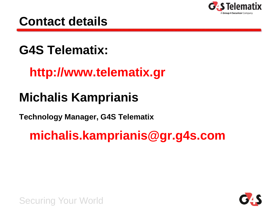

### **Contact details**

# **G4S Telematix:**

### **http://www.telematix.gr**

# **Michalis Kamprianis**

**Technology Manager, G4S Telematix**

# **michalis.kamprianis@gr.g4s.com**